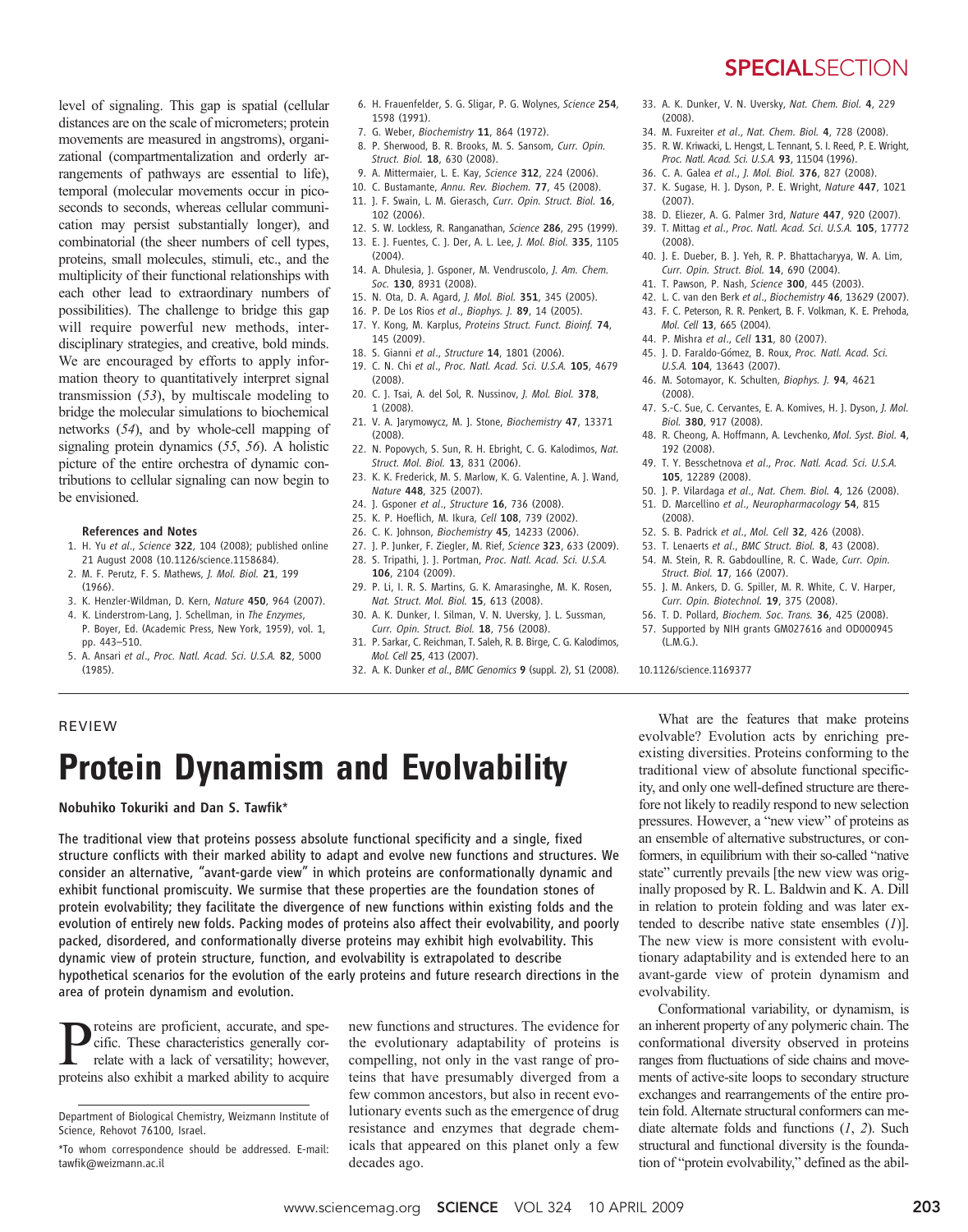level of signaling. This gap is spatial (cellular distances are on the scale of micrometers; protein movements are measured in angstroms), organizational (compartmentalization and orderly arrangements of pathways are essential to life), temporal (molecular movements occur in picoseconds to seconds, whereas cellular communication may persist substantially longer), and 1598 (1991). 102 (2006).

combinatorial (the sheer numbers of cell types, proteins, small molecules, stimuli, etc., and the multiplicity of their functional relationships with each other lead to extraordinary numbers of possibilities). The challenge to bridge this gap will require powerful new methods, interdisciplinary strategies, and creative, bold minds. We are encouraged by efforts to apply information theory to quantitatively interpret signal transmission (53), by multiscale modeling to bridge the molecular simulations to biochemical networks (54), and by whole-cell mapping of signaling protein dynamics (55, 56). A holistic picture of the entire orchestra of dynamic contributions to cellular signaling can now begin to be envisioned.

#### References and Notes

- 1. H. Yu et al., Science 322, 104 (2008); published online 21 August 2008 (10.1126/science.1158684).
- 2. M. F. Perutz, F. S. Mathews, J. Mol. Biol. 21, 199 (1966).
- 3. K. Henzler-Wildman, D. Kern, Nature 450, 964 (2007).
- 4. K. Linderstrom-Lang, J. Schellman, in The Enzymes, P. Boyer, Ed. (Academic Press, New York, 1959), vol. 1, pp. 443–510.
- 5. A. Ansari et al., Proc. Natl. Acad. Sci. U.S.A. 82, 5000 (1985).
- 6. H. Frauenfelder, S. G. Sligar, P. G. Wolynes, Science 254,
- 7. G. Weber, Biochemistry 11, 864 (1972).
- 8. P. Sherwood, B. R. Brooks, M. S. Sansom, Curr. Opin. Struct. Biol. 18, 630 (2008).
- 9. A. Mittermaier, L. E. Kay, Science 312, 224 (2006).
- 10. C. Bustamante, Annu. Rev. Biochem. 77, 45 (2008).
- 11. J. F. Swain, L. M. Gierasch, Curr. Opin. Struct. Biol. 16,
- 12. S. W. Lockless, R. Ranganathan, Science 286, 295 (1999). 13. E. J. Fuentes, C. J. Der, A. L. Lee, J. Mol. Biol. 335, 1105
- (2004).
- 14. A. Dhulesia, J. Gsponer, M. Vendruscolo, J. Am. Chem. Soc. 130, 8931 (2008).
- 15. N. Ota, D. A. Agard, J. Mol. Biol. 351, 345 (2005).
- 16. P. De Los Rios et al., Biophys. J. 89, 14 (2005).
- 17. Y. Kong, M. Karplus, Proteins Struct. Funct. Bioinf. 74, 145 (2009).
- 18. S. Gianni et al., Structure 14, 1801 (2006). 19. C. N. Chi et al., Proc. Natl. Acad. Sci. U.S.A. 105, 4679 (2008).
- 20. C. J. Tsai, A. del Sol, R. Nussinov, J. Mol. Biol. 378, 1 (2008).
- 21. V. A. Jarymowycz, M. J. Stone, Biochemistry 47, 13371 (2008).
- 22. N. Popovych, S. Sun, R. H. Ebright, C. G. Kalodimos, Nat. Struct. Mol. Biol. 13, 831 (2006).
- 23. K. K. Frederick, M. S. Marlow, K. G. Valentine, A. J. Wand, Nature 448, 325 (2007).
- 24. J. Gsponer et al., Structure 16, 736 (2008).
- 25. K. P. Hoeflich, M. Ikura, Cell 108, 739 (2002).
- 26. C. K. Johnson, Biochemistry 45, 14233 (2006).
- 27. J. P. Junker, F. Ziegler, M. Rief, Science 323, 633 (2009).
- 28. S. Tripathi, J. J. Portman, Proc. Natl. Acad. Sci. U.S.A. 106, 2104 (2009).
- 29. P. Li, I. R. S. Martins, G. K. Amarasinghe, M. K. Rosen, Nat. Struct. Mol. Biol. 15, 613 (2008).
- 30. A. K. Dunker, I. Silman, V. N. Uversky, J. L. Sussman, Curr. Opin. Struct. Biol. 18, 756 (2008).
- 31. P. Sarkar, C. Reichman, T. Saleh, R. B. Birge, C. G. Kalodimos, Mol. Cell 25, 413 (2007).
- 32. A. K. Dunker et al., BMC Genomics 9 (suppl. 2), S1 (2008).
- **SPECIALSECTION**
- 33. A. K. Dunker, V. N. Uversky, Nat. Chem. Biol. 4, 229 (2008).
- 34. M. Fuxreiter et al., Nat. Chem. Biol. 4, 728 (2008).
- 35. R. W. Kriwacki, L. Hengst, L. Tennant, S. I. Reed, P. E. Wright, Proc. Natl. Acad. Sci. U.S.A. 93, 11504 (1996).
- 36. C. A. Galea et al., J. Mol. Biol. 376, 827 (2008).
- 37. K. Sugase, H. J. Dyson, P. E. Wright, Nature 447, 1021 (2007).
- 38. D. Eliezer, A. G. Palmer 3rd, Nature 447, 920 (2007).
- 39. T. Mittag et al., Proc. Natl. Acad. Sci. U.S.A. 105, 17772 (2008).
- 40. J. E. Dueber, B. J. Yeh, R. P. Bhattacharyya, W. A. Lim, Curr. Opin. Struct. Biol. 14, 690 (2004).
- 41. T. Pawson, P. Nash, Science 300, 445 (2003).
- 42. L. C. van den Berk et al., Biochemistry 46, 13629 (2007).
	- 43. F. C. Peterson, R. R. Penkert, B. F. Volkman, K. E. Prehoda, Mol. Cell 13, 665 (2004).
	- 44. P. Mishra et al., Cell 131, 80 (2007).
	- 45. J. D. Faraldo-Gómez, B. Roux, Proc. Natl. Acad. Sci. U.S.A. 104, 13643 (2007).
	- 46. M. Sotomayor, K. Schulten, Biophys. J. 94, 4621 (2008).
	- 47. S.-C. Sue, C. Cervantes, E. A. Komives, H. I. Dyson, J. Mol. Biol. 380, 917 (2008).
	- 48. R. Cheong, A. Hoffmann, A. Levchenko, Mol. Syst. Biol. 4, 192 (2008).
	- 49. T. Y. Besschetnova et al., Proc. Natl. Acad. Sci. U.S.A. 105, 12289 (2008).
	- 50. J. P. Vilardaga et al., Nat. Chem. Biol. 4, 126 (2008).
	- 51. D. Marcellino et al., Neuropharmacology 54, 815
	- (2008).
	- 52. S. B. Padrick et al., Mol. Cell 32, 426 (2008).
	- 53. T. Lenaerts et al., BMC Struct. Biol. 8, 43 (2008). 54. M. Stein, R. R. Gabdoulline, R. C. Wade, Curr. Opin. Struct. Biol. 17, 166 (2007).
	- 55. J. M. Ankers, D. G. Spiller, M. R. White, C. V. Harper, Curr. Opin. Biotechnol. 19, 375 (2008).
	- 56. T. D. Pollard, Biochem. Soc. Trans. 36, 425 (2008).
	- 57. Supported by NIH grants GM027616 and OD000945  $(LMG)$ .

10.1126/science.1169377

#### REVIEW

# Protein Dynamism and Evolvability

Nobuhiko Tokuriki and Dan S. Tawfik\*

The traditional view that proteins possess absolute functional specificity and a single, fixed structure conflicts with their marked ability to adapt and evolve new functions and structures. We consider an alternative, "avant-garde view" in which proteins are conformationally dynamic and exhibit functional promiscuity. We surmise that these properties are the foundation stones of protein evolvability; they facilitate the divergence of new functions within existing folds and the evolution of entirely new folds. Packing modes of proteins also affect their evolvability, and poorly packed, disordered, and conformationally diverse proteins may exhibit high evolvability. This dynamic view of protein structure, function, and evolvability is extrapolated to describe hypothetical scenarios for the evolution of the early proteins and future research directions in the area of protein dynamism and evolution.

**P**roteins are proficient, accurate, and specific. These characteristics generally correlate with a lack of versatility; however, cific. These characteristics generally correlate with a lack of versatility; however, proteins also exhibit a marked ability to acquire

Department of Biological Chemistry, Weizmann Institute of Science, Rehovot 76100, Israel.

new functions and structures. The evidence for the evolutionary adaptability of proteins is compelling, not only in the vast range of proteins that have presumably diverged from a few common ancestors, but also in recent evolutionary events such as the emergence of drug resistance and enzymes that degrade chemicals that appeared on this planet only a few decades ago.

What are the features that make proteins evolvable? Evolution acts by enriching preexisting diversities. Proteins conforming to the traditional view of absolute functional specificity, and only one well-defined structure are therefore not likely to readily respond to new selection pressures. However, a "new view" of proteins as an ensemble of alternative substructures, or conformers, in equilibrium with their so-called "native state" currently prevails [the new view was originally proposed by R. L. Baldwin and K. A. Dill in relation to protein folding and was later extended to describe native state ensembles  $(1)$ ]. The new view is more consistent with evolutionary adaptability and is extended here to an avant-garde view of protein dynamism and evolvability.

Conformational variability, or dynamism, is an inherent property of any polymeric chain. The conformational diversity observed in proteins ranges from fluctuations of side chains and movements of active-site loops to secondary structure exchanges and rearrangements of the entire protein fold. Alternate structural conformers can mediate alternate folds and functions (1, 2). Such structural and functional diversity is the foundation of "protein evolvability," defined as the abil-

<sup>\*</sup>To whom correspondence should be addressed. E-mail: tawfik@weizmann.ac.il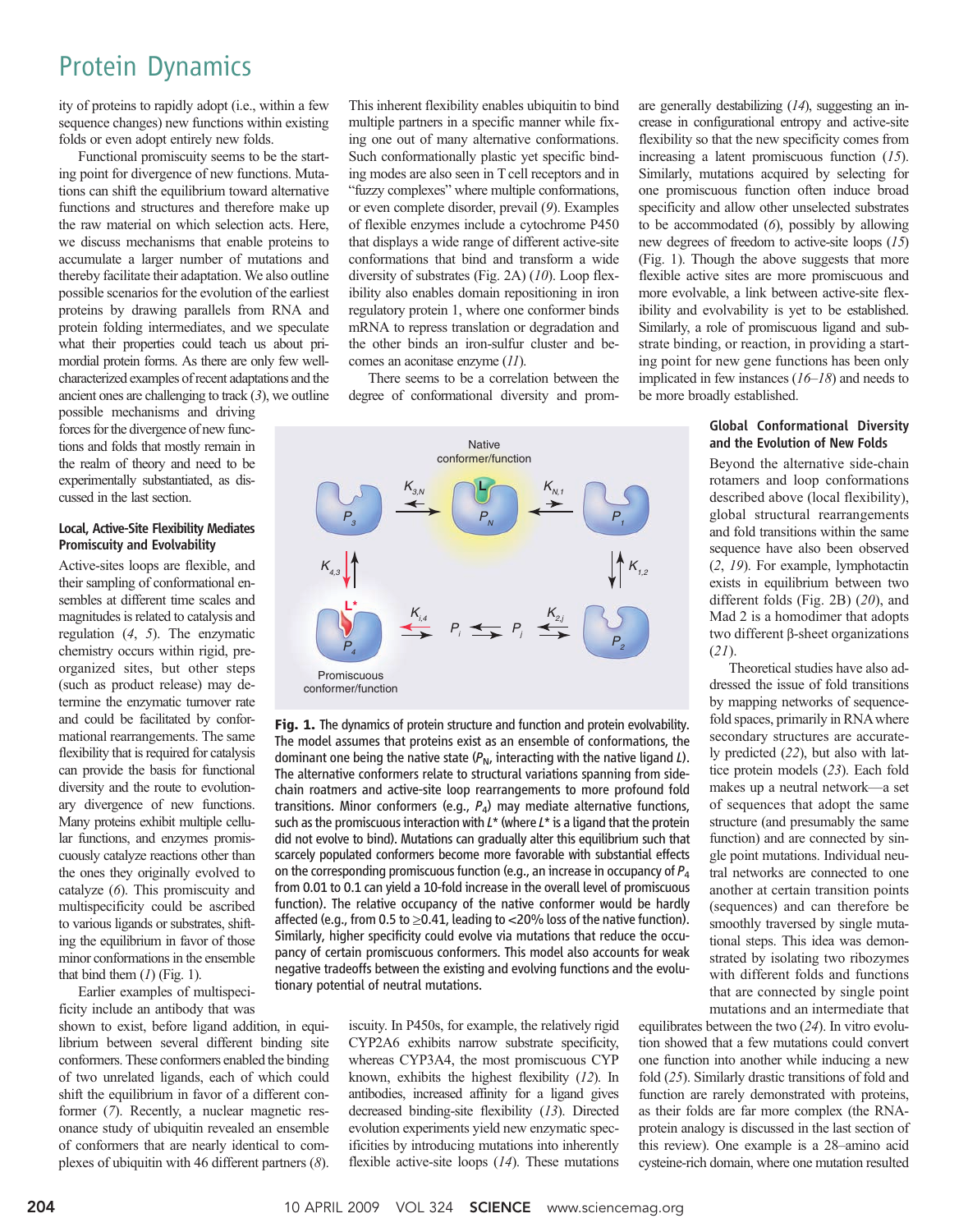### Protein Dynamics

ity of proteins to rapidly adopt (i.e., within a few sequence changes) new functions within existing folds or even adopt entirely new folds.

Functional promiscuity seems to be the starting point for divergence of new functions. Mutations can shift the equilibrium toward alternative functions and structures and therefore make up the raw material on which selection acts. Here, we discuss mechanisms that enable proteins to accumulate a larger number of mutations and thereby facilitate their adaptation. We also outline possible scenarios for the evolution of the earliest proteins by drawing parallels from RNA and protein folding intermediates, and we speculate what their properties could teach us about primordial protein forms. As there are only few wellcharacterized examples of recent adaptations and the ancient ones are challenging to track  $(3)$ , we outline

possible mechanisms and driving forces for the divergence of new functions and folds that mostly remain in the realm of theory and need to be experimentally substantiated, as discussed in the last section.

#### Local, Active-Site Flexibility Mediates Promiscuity and Evolvability

Active-sites loops are flexible, and their sampling of conformational ensembles at different time scales and magnitudes is related to catalysis and regulation (4, 5). The enzymatic chemistry occurs within rigid, preorganized sites, but other steps (such as product release) may determine the enzymatic turnover rate and could be facilitated by conformational rearrangements. The same flexibility that is required for catalysis can provide the basis for functional diversity and the route to evolutionary divergence of new functions. Many proteins exhibit multiple cellular functions, and enzymes promiscuously catalyze reactions other than the ones they originally evolved to catalyze (6). This promiscuity and multispecificity could be ascribed to various ligands or substrates, shifting the equilibrium in favor of those minor conformations in the ensemble that bind them  $(I)$  (Fig. 1).

Earlier examples of multispecificity include an antibody that was

shown to exist, before ligand addition, in equilibrium between several different binding site conformers. These conformers enabled the binding of two unrelated ligands, each of which could shift the equilibrium in favor of a different conformer (7). Recently, a nuclear magnetic resonance study of ubiquitin revealed an ensemble of conformers that are nearly identical to complexes of ubiquitin with 46 different partners  $(8)$ .

This inherent flexibility enables ubiquitin to bind multiple partners in a specific manner while fixing one out of many alternative conformations. Such conformationally plastic yet specific binding modes are also seen in T cell receptors and in "fuzzy complexes" where multiple conformations, or even complete disorder, prevail (9). Examples of flexible enzymes include a cytochrome P450 that displays a wide range of different active-site conformations that bind and transform a wide diversity of substrates (Fig. 2A) (10). Loop flexibility also enables domain repositioning in iron regulatory protein 1, where one conformer binds mRNA to repress translation or degradation and the other binds an iron-sulfur cluster and becomes an aconitase enzyme (11).

There seems to be a correlation between the degree of conformational diversity and prom-



Fig. 1. The dynamics of protein structure and function and protein evolvability. The model assumes that proteins exist as an ensemble of conformations, the dominant one being the native state  $(P_N)$ , interacting with the native ligand L). The alternative conformers relate to structural variations spanning from sidechain roatmers and active-site loop rearrangements to more profound fold transitions. Minor conformers (e.g.,  $P_4$ ) may mediate alternative functions, such as the promiscuous interaction with  $L^*$  (where  $L^*$  is a ligand that the protein did not evolve to bind). Mutations can gradually alter this equilibrium such that scarcely populated conformers become more favorable with substantial effects on the corresponding promiscuous function (e.g., an increase in occupancy of  $P_4$ from 0.01 to 0.1 can yield a 10-fold increase in the overall level of promiscuous function). The relative occupancy of the native conformer would be hardly affected (e.g., from 0.5 to  $\geq$ 0.41, leading to <20% loss of the native function). Similarly, higher specificity could evolve via mutations that reduce the occupancy of certain promiscuous conformers. This model also accounts for weak negative tradeoffs between the existing and evolving functions and the evolutionary potential of neutral mutations.

> iscuity. In P450s, for example, the relatively rigid CYP2A6 exhibits narrow substrate specificity, whereas CYP3A4, the most promiscuous CYP known, exhibits the highest flexibility (12). In antibodies, increased affinity for a ligand gives decreased binding-site flexibility (13). Directed evolution experiments yield new enzymatic specificities by introducing mutations into inherently flexible active-site loops (14). These mutations

are generally destabilizing (14), suggesting an increase in configurational entropy and active-site flexibility so that the new specificity comes from increasing a latent promiscuous function (15). Similarly, mutations acquired by selecting for one promiscuous function often induce broad specificity and allow other unselected substrates to be accommodated  $(6)$ , possibly by allowing new degrees of freedom to active-site loops (15) (Fig. 1). Though the above suggests that more flexible active sites are more promiscuous and more evolvable, a link between active-site flexibility and evolvability is yet to be established. Similarly, a role of promiscuous ligand and substrate binding, or reaction, in providing a starting point for new gene functions has been only implicated in few instances  $(16-18)$  and needs to be more broadly established.

#### Global Conformational Diversity and the Evolution of New Folds

Beyond the alternative side-chain rotamers and loop conformations described above (local flexibility), global structural rearrangements and fold transitions within the same sequence have also been observed (2, 19). For example, lymphotactin exists in equilibrium between two different folds (Fig. 2B) (20), and Mad 2 is a homodimer that adopts two different  $\beta$ -sheet organizations  $(21)$ .

Theoretical studies have also addressed the issue of fold transitions by mapping networks of sequencefold spaces, primarily in RNAwhere secondary structures are accurately predicted (22), but also with lattice protein models (23). Each fold makes up a neutral network—a set of sequences that adopt the same structure (and presumably the same function) and are connected by single point mutations. Individual neutral networks are connected to one another at certain transition points (sequences) and can therefore be smoothly traversed by single mutational steps. This idea was demonstrated by isolating two ribozymes with different folds and functions that are connected by single point mutations and an intermediate that

equilibrates between the two (24). In vitro evolution showed that a few mutations could convert one function into another while inducing a new fold (25). Similarly drastic transitions of fold and function are rarely demonstrated with proteins, as their folds are far more complex (the RNAprotein analogy is discussed in the last section of this review). One example is a 28–amino acid cysteine-rich domain, where one mutation resulted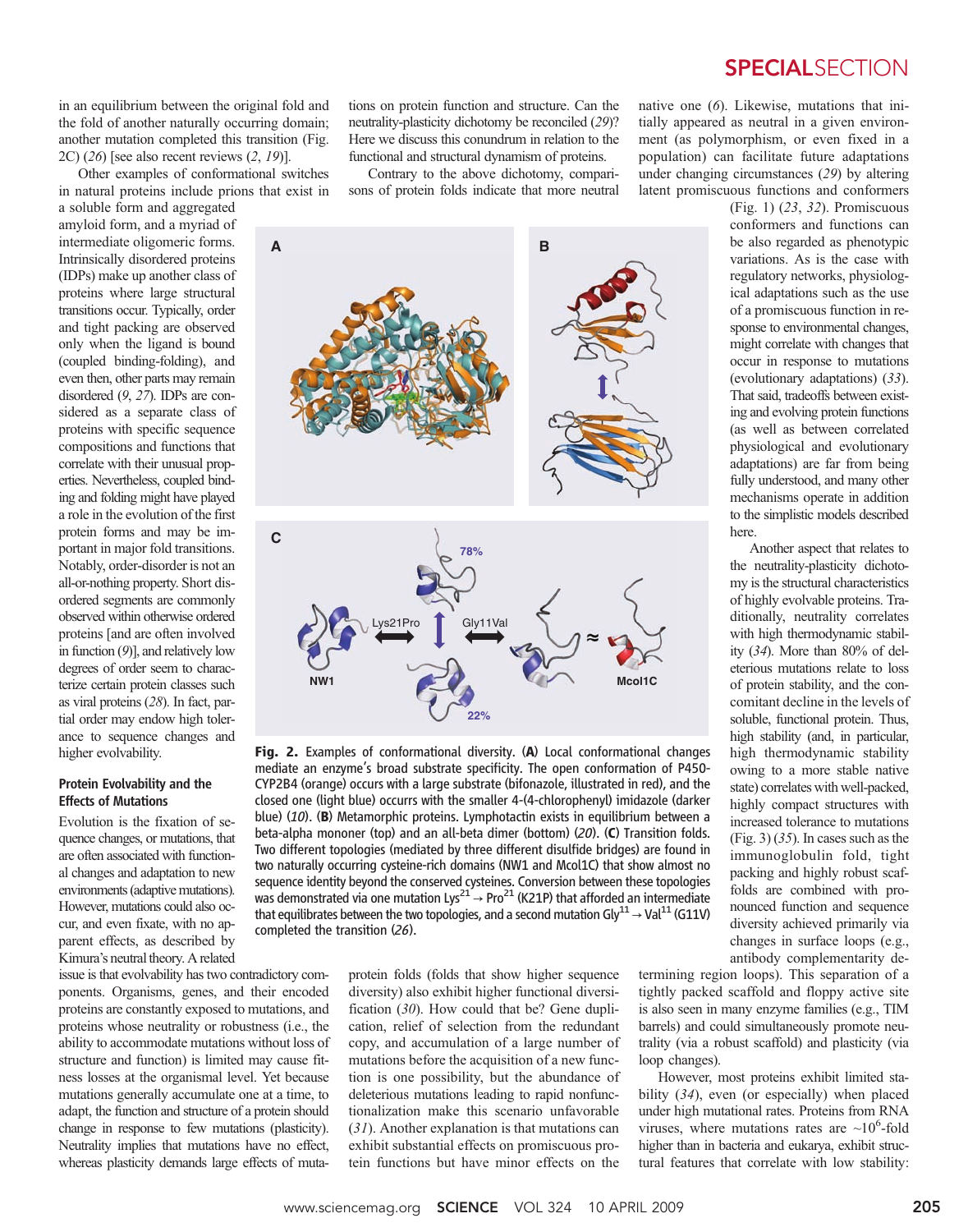in an equilibrium between the original fold and the fold of another naturally occurring domain; another mutation completed this transition (Fig. 2C) (26) [see also recent reviews (2, 19)].

Other examples of conformational switches in natural proteins include prions that exist in

a soluble form and aggregated amyloid form, and a myriad of intermediate oligomeric forms. Intrinsically disordered proteins (IDPs) make up another class of proteins where large structural transitions occur. Typically, order and tight packing are observed only when the ligand is bound (coupled binding-folding), and even then, other parts may remain disordered (9, 27). IDPs are considered as a separate class of proteins with specific sequence compositions and functions that correlate with their unusual properties. Nevertheless, coupled binding and folding might have played a role in the evolution of the first protein forms and may be important in major fold transitions. Notably, order-disorder is not an all-or-nothing property. Short disordered segments are commonly observed within otherwise ordered proteins [and are often involved in function (9)], and relatively low degrees of order seem to characterize certain protein classes such as viral proteins (28). In fact, partial order may endow high tolerance to sequence changes and higher evolvability.

#### Protein Evolvability and the Effects of Mutations

Evolution is the fixation of sequence changes, or mutations, that are often associated with functional changes and adaptation to new environments (adaptive mutations). However, mutations could also occur, and even fixate, with no apparent effects, as described by Kimura's neutral theory. A related

issue is that evolvability has two contradictory components. Organisms, genes, and their encoded proteins are constantly exposed to mutations, and proteins whose neutrality or robustness (i.e., the ability to accommodate mutations without loss of structure and function) is limited may cause fitness losses at the organismal level. Yet because mutations generally accumulate one at a time, to adapt, the function and structure of a protein should change in response to few mutations (plasticity). Neutrality implies that mutations have no effect, whereas plasticity demands large effects of mutations on protein function and structure. Can the neutrality-plasticity dichotomy be reconciled (29)? Here we discuss this conundrum in relation to the functional and structural dynamism of proteins.

Contrary to the above dichotomy, comparisons of protein folds indicate that more neutral native one (6). Likewise, mutations that initially appeared as neutral in a given environment (as polymorphism, or even fixed in a population) can facilitate future adaptations under changing circumstances (29) by altering latent promiscuous functions and conformers

> (Fig. 1) (23, 32). Promiscuous conformers and functions can be also regarded as phenotypic variations. As is the case with regulatory networks, physiological adaptations such as the use of a promiscuous function in response to environmental changes, might correlate with changes that occur in response to mutations (evolutionary adaptations) (33). That said, tradeoffs between existing and evolving protein functions (as well as between correlated physiological and evolutionary adaptations) are far from being fully understood, and many other mechanisms operate in addition to the simplistic models described here.

Another aspect that relates to the neutrality-plasticity dichotomy is the structural characteristics of highly evolvable proteins. Traditionally, neutrality correlates with high thermodynamic stability (34). More than 80% of deleterious mutations relate to loss of protein stability, and the concomitant decline in the levels of soluble, functional protein. Thus, high stability (and, in particular, high thermodynamic stability owing to a more stable native state) correlates with well-packed, highly compact structures with increased tolerance to mutations  $(Fi)$ ,  $(35)$ . In cases such as the immunoglobulin fold, tight packing and highly robust scaffolds are combined with pronounced function and sequence diversity achieved primarily via changes in surface loops (e.g., antibody complementarity de-

protein folds (folds that show higher sequence diversity) also exhibit higher functional diversification (30). How could that be? Gene duplication, relief of selection from the redundant copy, and accumulation of a large number of mutations before the acquisition of a new function is one possibility, but the abundance of deleterious mutations leading to rapid nonfunctionalization make this scenario unfavorable (31). Another explanation is that mutations can exhibit substantial effects on promiscuous protein functions but have minor effects on the

termining region loops). This separation of a tightly packed scaffold and floppy active site is also seen in many enzyme families (e.g., TIM barrels) and could simultaneously promote neutrality (via a robust scaffold) and plasticity (via loop changes).

However, most proteins exhibit limited stability (34), even (or especially) when placed under high mutational rates. Proteins from RNA viruses, where mutations rates are  $\sim 10^6$ -fold higher than in bacteria and eukarya, exhibit structural features that correlate with low stability:

www.sciencemag.org **SCIENCE** VOL 324 10 APRIL 2009 205

Fig. 2. Examples of conformational diversity. (A) Local conformational changes mediate an enzyme's broad substrate specificity. The open conformation of P450- CYP2B4 (orange) occurs with a large substrate (bifonazole, illustrated in red), and the closed one (light blue) occurrs with the smaller 4-(4-chlorophenyl) imidazole (darker blue) (10). (B) Metamorphic proteins. Lymphotactin exists in equilibrium between a beta-alpha mononer (top) and an all-beta dimer (bottom) (20). (C) Transition folds. Two different topologies (mediated by three different disulfide bridges) are found in two naturally occurring cysteine-rich domains (NW1 and Mcol1C) that show almost no sequence identity beyond the conserved cysteines. Conversion between these topologies was demonstrated via one mutation Lys<sup>21</sup>  $\rightarrow$  Pro<sup>21</sup> (K21P) that afforded an intermediate that equilibrates between the two topologies, and a second mutation Gly $^{11}$   $\rightarrow$  Val $^{11}$  (G11V) completed the transition (26).



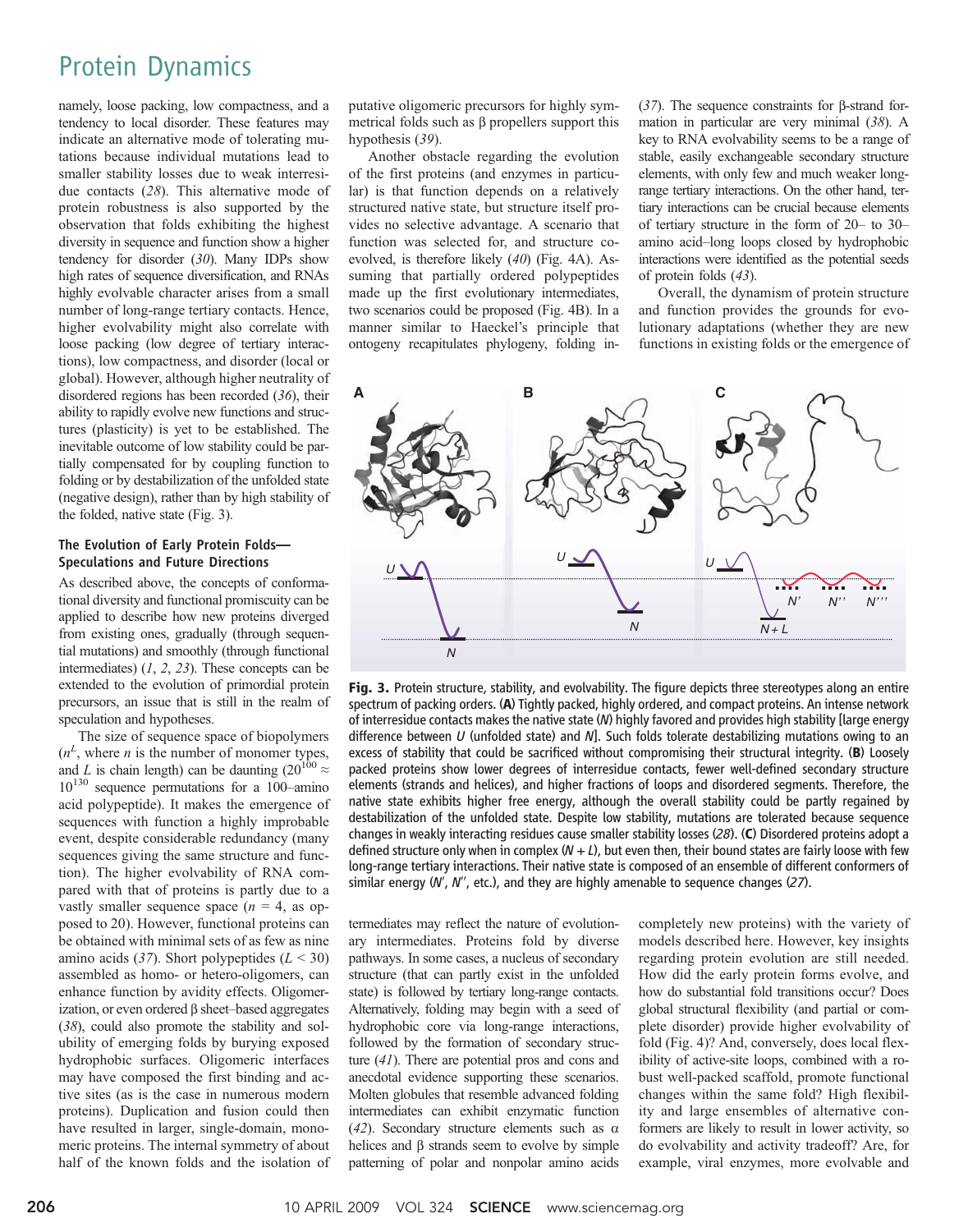## Protein Dynamics

namely, loose packing, low compactness, and a tendency to local disorder. These features may indicate an alternative mode of tolerating mutations because individual mutations lead to smaller stability losses due to weak interresidue contacts (28). This alternative mode of protein robustness is also supported by the observation that folds exhibiting the highest diversity in sequence and function show a higher tendency for disorder (30). Many IDPs show high rates of sequence diversification, and RNAs highly evolvable character arises from a small number of long-range tertiary contacts. Hence, higher evolvability might also correlate with loose packing (low degree of tertiary interactions), low compactness, and disorder (local or global). However, although higher neutrality of disordered regions has been recorded (36), their ability to rapidly evolve new functions and structures (plasticity) is yet to be established. The inevitable outcome of low stability could be partially compensated for by coupling function to folding or by destabilization of the unfolded state (negative design), rather than by high stability of the folded, native state (Fig. 3).

#### The Evolution of Early Protein Folds— Speculations and Future Directions

As described above, the concepts of conformational diversity and functional promiscuity can be applied to describe how new proteins diverged from existing ones, gradually (through sequential mutations) and smoothly (through functional intermediates)  $(1, 2, 23)$ . These concepts can be extended to the evolution of primordial protein precursors, an issue that is still in the realm of speculation and hypotheses.

The size of sequence space of biopolymers  $(n<sup>L</sup>$ , where *n* is the number of monomer types, and L is chain length) can be daunting (20<sup>100</sup>  $\approx$  $10^{130}$  sequence permutations for a 100–amino acid polypeptide). It makes the emergence of sequences with function a highly improbable event, despite considerable redundancy (many sequences giving the same structure and function). The higher evolvability of RNA compared with that of proteins is partly due to a vastly smaller sequence space  $(n = 4, \text{ as } op$ posed to 20). However, functional proteins can be obtained with minimal sets of as few as nine amino acids (37). Short polypeptides  $(L < 30)$ assembled as homo- or hetero-oligomers, can enhance function by avidity effects. Oligomerization, or even ordered  $\beta$  sheet–based aggregates (38), could also promote the stability and solubility of emerging folds by burying exposed hydrophobic surfaces. Oligomeric interfaces may have composed the first binding and active sites (as is the case in numerous modern proteins). Duplication and fusion could then have resulted in larger, single-domain, monomeric proteins. The internal symmetry of about half of the known folds and the isolation of putative oligomeric precursors for highly symmetrical folds such as  $\beta$  propellers support this hypothesis (39).

Another obstacle regarding the evolution of the first proteins (and enzymes in particular) is that function depends on a relatively structured native state, but structure itself provides no selective advantage. A scenario that function was selected for, and structure coevolved, is therefore likely (40) (Fig. 4A). Assuming that partially ordered polypeptides made up the first evolutionary intermediates, two scenarios could be proposed (Fig. 4B). In a manner similar to Haeckel's principle that ontogeny recapitulates phylogeny, folding in(37). The sequence constraints for  $\beta$ -strand formation in particular are very minimal (38). A key to RNA evolvability seems to be a range of stable, easily exchangeable secondary structure elements, with only few and much weaker longrange tertiary interactions. On the other hand, tertiary interactions can be crucial because elements of tertiary structure in the form of 20– to 30– amino acid–long loops closed by hydrophobic interactions were identified as the potential seeds of protein folds (43).

Overall, the dynamism of protein structure and function provides the grounds for evolutionary adaptations (whether they are new functions in existing folds or the emergence of



Fig. 3. Protein structure, stability, and evolvability. The figure depicts three stereotypes along an entire spectrum of packing orders. (A) Tightly packed, highly ordered, and compact proteins. An intense network of interresidue contacts makes the native state (N) highly favored and provides high stability [large energy difference between  $U$  (unfolded state) and  $N$ ]. Such folds tolerate destabilizing mutations owing to an excess of stability that could be sacrificed without compromising their structural integrity. (B) Loosely packed proteins show lower degrees of interresidue contacts, fewer well-defined secondary structure elements (strands and helices), and higher fractions of loops and disordered segments. Therefore, the native state exhibits higher free energy, although the overall stability could be partly regained by destabilization of the unfolded state. Despite low stability, mutations are tolerated because sequence changes in weakly interacting residues cause smaller stability losses (28). (C) Disordered proteins adopt a defined structure only when in complex  $(N + L)$ , but even then, their bound states are fairly loose with few long-range tertiary interactions. Their native state is composed of an ensemble of different conformers of similar energy  $(W, W',$  etc.), and they are highly amenable to sequence changes (27).

termediates may reflect the nature of evolutionary intermediates. Proteins fold by diverse pathways. In some cases, a nucleus of secondary structure (that can partly exist in the unfolded state) is followed by tertiary long-range contacts. Alternatively, folding may begin with a seed of hydrophobic core via long-range interactions, followed by the formation of secondary structure (41). There are potential pros and cons and anecdotal evidence supporting these scenarios. Molten globules that resemble advanced folding intermediates can exhibit enzymatic function (42). Secondary structure elements such as  $\alpha$ helices and  $\beta$  strands seem to evolve by simple patterning of polar and nonpolar amino acids

completely new proteins) with the variety of models described here. However, key insights regarding protein evolution are still needed. How did the early protein forms evolve, and how do substantial fold transitions occur? Does global structural flexibility (and partial or complete disorder) provide higher evolvability of fold (Fig. 4)? And, conversely, does local flexibility of active-site loops, combined with a robust well-packed scaffold, promote functional changes within the same fold? High flexibility and large ensembles of alternative conformers are likely to result in lower activity, so do evolvability and activity tradeoff? Are, for example, viral enzymes, more evolvable and